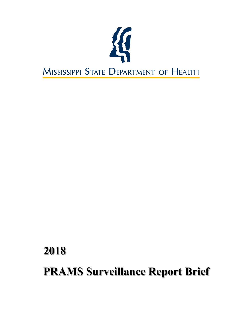

# **2018 PRAMS Surveillance Report Brief**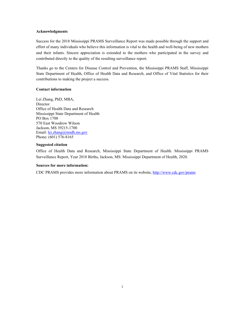# **Acknowledgments**

Success for the 2018 Mississippi PRAMS Surveillance Report was made possible through the support and effort of many individuals who believe this information is vital to the health and well-being of new mothers and their infants. Sincere appreciation is extended to the mothers who participated in the survey and contributed directly to the quality of the resulting surveillance report.

Thanks go to the Centers for Disease Control and Prevention, the Mississippi PRAMS Staff, Mississippi State Department of Health, Office of Health Data and Research, and Office of Vital Statistics for their contributions to making the project a success.

# **Contact information**

Lei Zhang, PhD, MBA, Director Office of Health Data and Research Mississippi State Department of Health PO Box 1700 570 East Woodrow Wilson Jackson, MS 39215-1700 Email: [lei.zhang@msdh.ms.gov](mailto:lei.zhang@msdh.ms.gov) Phone: (601) 576‐8165

# **Suggested citation**

Office of Health Data and Research, Mississippi State Department of Health. Mississippi PRAMS Surveillance Report, Year 2018 Births, Jackson, MS: Mississippi Department of Health, 2020.

## **Sources for more information:**

CDC PRAMS provides more information about PRAMS on its website,<http://www.cdc.gov/prams>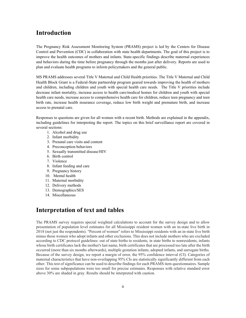# **Introduction**

The Pregnancy Risk Assessment Monitoring System (PRAMS) project is led by the Centers for Disease Control and Prevention (CDC) in collaboration with state health departments. The goal of this project is to improve the health outcomes of mothers and infants. State-specific findings describe maternal experiences and behaviors during the time before pregnancy through the months just after delivery. Reports are used to plan and evaluate health programs to inform policymakers and the general public.

MS PRAMS addresses several Title V Maternal and Child Health priorities. The Title V Maternal and Child Health Block Grant is a Federal-State partnership program geared towards improving the health of mothers and children, including children and youth with special health care needs. The Title V priorities include decrease infant mortality, increase access to health care/medical homes for children and youth with special health care needs, increase access to comprehensive health care for children, reduce teen pregnancy and teen birth rate, increase health insurance coverage, reduce low birth weight and premature birth, and increase access to prenatal care.

Responses to questions are given for all women with a recent birth. Methods are explained in the appendix, including guidelines for interpreting the report. The topics on this brief surveillance report are covered in several sections:

- 1. Alcohol and drug use
- 2. Infant morbidity
- 3. Prenatal care visits and content
- 4. Preconception behaviors
- 5. Sexually transmitted disease/HIV
- 6. Birth control
- 7. Violence
- 8. Infant feeding and care
- 9. Pregnancy history
- 10. Mental health
- 11. Maternal morbidity
- 12. Delivery methods
- 13. Demographics/SES
- 14. Miscellaneous

# **Interpretation of text and tables**

The PRAMS survey requires special weighted calculations to account for the survey design and to allow presentation of population level estimates for all Mississippi resident women with an in-state live birth in 2018 (not just the respondents). "Percent of women" refers to Mississippi residents with an in-state live birth minus those women who adopt infants and other exclusions. This does not include mothers who are excluded according to CDC protocol guidelines: out of state births to residents, in state births to nonresidents, infants whose birth certificates lack the mother's last name, birth certificates that are processed too late after the birth occurred (more than six months afterwards), multiple gestation infants, adopted infants, and surrogate births. Because of the survey design, we report a margin of error, the 95% confidence interval (CI). Categories of maternal characteristics that have non-overlapping 95% CIs are statistically significantly different from each other. This test of significance can be used to describe findings for each PRAMS item questionnaires. Sample sizes for some subpopulations were too small for precise estimates. Responses with relative standard error above 30% are shaded in gray. Results should be interpreted with caution.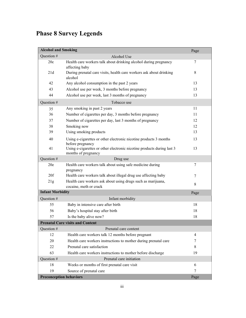# **Phase 8 Survey Legends**

| <b>Alcohol and Smoking</b>     |                                                                                               | Page |
|--------------------------------|-----------------------------------------------------------------------------------------------|------|
| Question #                     | Alcohol Use                                                                                   |      |
| 20c                            | Health care workers talk about drinking alcohol during pregnancy<br>affecting baby            | 7    |
| 21d                            | During prenatal care visits, health care workers ask about drinking<br>alcohol                | 8    |
| 42                             | Any alcohol consumption in the past 2 years                                                   | 13   |
| 43                             | Alcohol use per week, 3 months before pregnancy                                               | 13   |
| 44                             | Alcohol use per week, last 3 months of pregnancy                                              | 13   |
| Question #                     | Tobacco use                                                                                   |      |
| 35                             | Any smoking in past 2 years                                                                   | 11   |
| 36                             | Number of cigarettes per day, 3 months before pregnancy                                       | 11   |
| 37                             | Number of cigarettes per day, last 3 months of pregnancy                                      | 12   |
| 38                             | Smoking now                                                                                   | 12   |
| 39                             | Using smoking products                                                                        | 13   |
| 40                             | Using e-cigarettes or other electronic nicotine products 3 months<br>before pregnancy         | 13   |
| 41                             | Using e-cigarettes or other electronic nicotine products during last 3<br>months of pregnancy | 13   |
| Question #                     | Drug use                                                                                      |      |
| 20e                            | Health care workers talk about using safe medicine during<br>pregnancy                        | 7    |
| 20f                            | Health care workers talk about illegal drug use affecting baby                                | 7    |
| 21g                            | Health care workers ask about using drugs such as marijuana,<br>cocaine, meth or crack        | 8    |
| <b>Infant Morbidity</b>        |                                                                                               | Page |
| Question #                     | Infant morbidity                                                                              |      |
| 55                             | Baby in intensive care after birth                                                            | 18   |
| 56                             | Baby's hospital stay after birth                                                              | 18   |
| 57                             | Is the baby alive now?                                                                        | 18   |
|                                | <b>Prenatal Care visits and Content</b>                                                       |      |
| Question #                     | Prenatal care content                                                                         |      |
| 12                             | Health care workers talk 12 months before pregnant                                            | 4    |
| 20                             | Health care workers instructions to mother during prenatal care                               | 7    |
| 22                             | Prenatal care satisfaction                                                                    | 8    |
| 63                             | Health care workers instructions to mother before discharge                                   | 19   |
| Question #                     | Prenatal care initiation                                                                      |      |
| 18                             | Weeks or months of first prenatal care visit                                                  | 6    |
| 19                             | Source of prenatal care                                                                       | 7    |
| <b>Preconception behaviors</b> |                                                                                               | Page |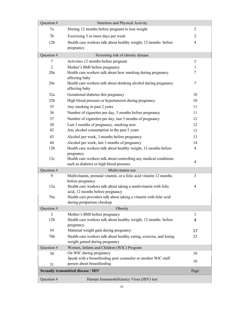| Question #      | Nutrition and Physical Activity                                                                              |                |
|-----------------|--------------------------------------------------------------------------------------------------------------|----------------|
| 7a              | Dieting 12 months before pregnant to lose weight                                                             | $\overline{2}$ |
| 7 <sub>b</sub>  | Exercising 3 or more days per week                                                                           | $\overline{2}$ |
| 12 <sub>b</sub> | Health care workers talk about healthy weight, 12 months before                                              | $\overline{4}$ |
|                 | pregnancy                                                                                                    |                |
| Question #      | Screening risk of chronic disease                                                                            |                |
| 7               | Activities 12 months before pregnant                                                                         | 2              |
| $\overline{2}$  | Mother's BMI before pregnancy                                                                                | 1              |
| 20a             | Health care workers talk about how smoking during pregnancy<br>affecting baby                                | $\tau$         |
| 20c             | Health care workers talk about drinking alcohol during pregnancy<br>affecting baby                           | 7              |
| 32a             | Gestational diabetes this pregnancy                                                                          | 10             |
| 32 <sub>b</sub> | High blood pressure or hypertension during pregnancy                                                         | 10             |
| 35              | Any smoking in past 2 years                                                                                  | 11             |
| 36              | Number of cigarettes per day, 3 months before pregnancy                                                      | 11             |
| 37              | Number of cigarettes per day, last 3 months of pregnancy                                                     | 12             |
| 38              | Last 3 months of pregnancy, smoking now                                                                      | 12             |
| 42              | Any alcohol consumption in the past 2 years                                                                  | 13             |
| 43              | Alcohol per week, 3 months before pregnancy                                                                  | 13             |
| 44              | Alcohol per week, last 3 months of pregnancy                                                                 | 14             |
| 12 <sub>b</sub> | Health care workers talk about healthy weight, 12 months before                                              | $\overline{4}$ |
|                 | pregnancy                                                                                                    |                |
| 12c             | Health care workers talk about controlling any medical conditions<br>such as diabetes or high blood pressure | $\overline{4}$ |
| Question #      | Multivitamin use                                                                                             |                |
| 9               | Multivitamin, prenatal vitamin, or a folic acid vitamin 12 months<br>before pregnancy                        | 3              |
| 12a             | Health care workers talk about taking a multivitamin with folic<br>acid, 12 months before pregnancy          | $\overline{4}$ |
| 76a             | Health care providers talk about taking a vitamin with folic acid<br>during postpartum checkup               |                |
| Question #      | Obesity                                                                                                      |                |
| $\overline{2}$  | Mother's BMI before pregnancy                                                                                | 1              |
| 12 <sub>b</sub> | Health care workers talk about healthy weight, 12 months before                                              | 4              |
| 54              | pregnancy<br>Maternal weight gain during pregnancy                                                           | 17             |
| 76b             | Health care workers talk about healthy eating, exercise, and losing                                          | 23             |
|                 | weight gained during pregnancy                                                                               |                |
| Question #      | Women, Infants and Children (WIC) Program                                                                    |                |
| 30              | On WIC during pregnancy                                                                                      | 10             |
|                 | Speak with a breastfeeding peer counselor or another WIC staff                                               | 10             |
| 31              | person about breastfeeding                                                                                   |                |
|                 | <b>Sexually transmitted disease / HIV</b>                                                                    | Page           |
| Question #      | Human Immunodeficiency Virus (HIV) test                                                                      |                |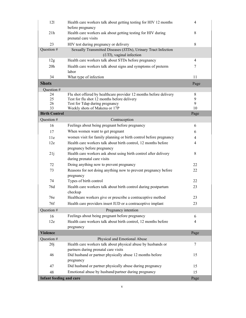| 121                            | Health care workers talk about getting testing for HIV 12 months<br>before pregnancy                   | $\overline{4}$ |
|--------------------------------|--------------------------------------------------------------------------------------------------------|----------------|
| 21h                            | Health care workers ask about getting testing for HIV during<br>prenatal care visits                   | 8              |
| 23                             |                                                                                                        | 8              |
| Question #                     | HIV test during pregnancy or delivery<br>Sexually Transmitted Diseases (STDs), Urinary Tract Infection |                |
|                                | $(UTI)$ , vaginal infection                                                                            |                |
| 12g                            | Health care workers talk about STDs before pregnancy                                                   | 4              |
| 20 <sub>h</sub>                | Health care workers talk about signs and symptoms of preterm                                           | 7              |
|                                | labor                                                                                                  |                |
| 34                             | What type of infection                                                                                 | 11             |
| <b>Shots</b>                   |                                                                                                        | Page           |
| Question #                     |                                                                                                        |                |
| 24                             | Flu shot offered by healthcare provider 12 months before delivery                                      | 8              |
| 25                             | Test for flu shot 12 months before delivery                                                            | 9              |
| 26<br>33                       | Test for Tdap during pregnancy<br>Weekly shots of Makena or 17P                                        | 9<br>10        |
| <b>Birth Control</b>           |                                                                                                        | Page           |
|                                |                                                                                                        |                |
| Question #                     | Contraception                                                                                          |                |
| 16                             | Feelings about being pregnant before pregnancy                                                         | 6              |
| 17                             | When women want to get pregnant                                                                        | 6              |
| 11e                            | women visit for family planning or birth control before pregnancy                                      | $\overline{4}$ |
| 12e                            | Health care workers talk about birth control, 12 months before                                         | $\overline{4}$ |
|                                | pregnancy before pregnancy                                                                             |                |
| 21j                            | Health care workers ask about using birth control after delivery                                       | $\,8\,$        |
|                                | during prenatal care visits                                                                            |                |
| 72                             | Doing anything now to prevent pregnancy                                                                | 22             |
| 73                             | Reasons for not doing anything now to prevent pregnancy before                                         | 22             |
|                                | pregnancy                                                                                              |                |
| 74                             | Types of birth control                                                                                 | 22             |
| 76d                            | Health care workers talk about birth control during postpartum                                         | 23             |
|                                | checkup                                                                                                |                |
| 76e                            | Healthcare workers give or prescribe a contraceptive method                                            | 23             |
| 76f                            | Health care providers insert IUD or a contraceptive implant                                            | 23             |
| Question #                     | Pregnancy intention                                                                                    |                |
| 16                             | Feelings about being pregnant before pregnancy                                                         | 6              |
| 12e                            | Health care workers talk about birth control, 12 months before                                         | 4              |
|                                | pregnancy                                                                                              |                |
| <b>Violence</b>                |                                                                                                        | Page           |
| Question #                     | Physical and Emotional Abuse                                                                           |                |
| 20j                            | Health care workers talk about physical abuse by husbands or                                           | 7              |
|                                | partners during prenatal care visits                                                                   |                |
| 46                             | Did husband or partner physically abuse 12 months before                                               | 15             |
|                                | pregnancy                                                                                              |                |
| 47                             | Did husband or partner physically abuse during pregnancy                                               | 15             |
|                                |                                                                                                        |                |
| 48                             | Emotional abuse by husband/partner during pregnancy                                                    | 15             |
| <b>Infant feeding and care</b> |                                                                                                        | Page           |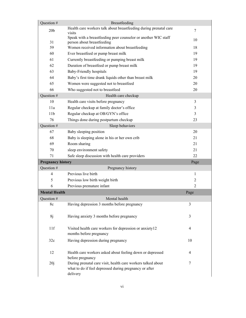| Question #               | Breastfeeding                                                                                                                      |                |
|--------------------------|------------------------------------------------------------------------------------------------------------------------------------|----------------|
| 20 <sub>b</sub>          | Health care workers talk about breastfeeding during prenatal care<br>visits                                                        | $\tau$         |
| 31                       | Speak with a breastfeeding peer counselor or another WIC staff<br>person about breastfeeding                                       | 10             |
| 59                       | Women received information about breastfeeding                                                                                     | 18             |
| 60                       | Ever breastfeed or pump breast milk                                                                                                | 19             |
| 61                       | Currently breastfeeding or pumping breast milk                                                                                     | 19             |
| 62                       | Duration of breastfeed or pump breast milk                                                                                         | 19             |
| 63                       | Baby-Friendly hospitals                                                                                                            | 19             |
| 64                       | Baby's first time drank liquids other than breast milk                                                                             | 20             |
| 65                       | Women were suggested not to breastfeed                                                                                             | 20             |
| 66                       | Who suggested not to breastfeed                                                                                                    | 20             |
| Question #               | Health care checkup                                                                                                                |                |
| 10                       | Health care visits before pregnancy                                                                                                | 3              |
| 11a                      | Regular checkup at family doctor's office                                                                                          | 3              |
| 11 <sub>b</sub>          | Regular checkup at OB/GYN's office                                                                                                 | 3              |
| 76                       | Things done during postpartum checkup                                                                                              | 23             |
| Question #               | Sleep behaviors                                                                                                                    |                |
| 67                       | Baby sleeping position                                                                                                             | 20             |
| 68                       | Baby is sleeping alone in his or her own crib                                                                                      | 21             |
| 69                       | Room sharing                                                                                                                       | 21             |
| 70                       | sleep environment safety                                                                                                           | 21             |
| 71                       | Safe sleep discussion with health care providers                                                                                   | 22             |
| <b>Pregnancy history</b> |                                                                                                                                    | Page           |
| Question #               | Pregnancy history                                                                                                                  |                |
| 4                        | Previous live birth                                                                                                                | 1              |
| 5                        | Previous low birth weight birth                                                                                                    | $\overline{c}$ |
| 6                        | Previous premature infant                                                                                                          | 2              |
| <b>Mental Health</b>     |                                                                                                                                    | Page           |
| Question #               | Mental health                                                                                                                      |                |
| 8c                       | Having depression 3 months before pregnancy                                                                                        | 3              |
| 8j                       | Having anxiety 3 months before pregnancy                                                                                           | 3              |
| 11f                      | Visited health care workers for depression or anxiety12<br>months before pregnancy                                                 | 4              |
| 32c                      | Having depression during pregnancy                                                                                                 | 10             |
| 12                       | Health care workers asked about feeling down or depressed<br>before pregnancy                                                      | 4              |
| 20j                      | During prenatal care visit, health care workers talked about<br>what to do if feel depressed during pregnancy or after<br>delivery | 7              |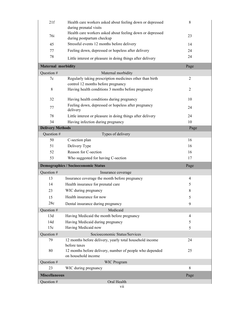| 21f                       | Health care workers asked about feeling down or depressed                                      | 8              |
|---------------------------|------------------------------------------------------------------------------------------------|----------------|
|                           | during prenatal visits<br>Health care workers asked about feeling down or depressed            |                |
| 76i                       | during postpartum checkup                                                                      | 23             |
| 45                        | Stressful events 12 months before delivery                                                     | 14             |
| 77                        | Feeling down, depressed or hopeless after delivery                                             | 24             |
| 78                        | Little interest or pleasure in doing things after delivery                                     | 24             |
| <b>Maternal morbidity</b> |                                                                                                | Page           |
| Question #                | Maternal morbidity                                                                             |                |
| 7c                        | Regularly taking prescription medicines other than birth<br>control 12 months before pregnancy | $\overline{2}$ |
| 8                         | Having health conditions 3 months before pregnancy                                             | $\overline{2}$ |
| 32                        | Having health conditions during pregnancy                                                      | 10             |
| 77                        | Feeling down, depressed or hopeless after pregnancy<br>delivery                                | 24             |
| 78                        | Little interest or pleasure in doing things after delivery                                     | 24             |
| 34                        | Having infection during pregnancy                                                              | 10             |
| <b>Delivery Methods</b>   |                                                                                                | Page           |
| Question #                | Types of delivery                                                                              |                |
| 50                        | C-section plan                                                                                 | 16             |
| 51                        | Delivery Type                                                                                  | 16             |
| 52                        | Reason for C-section                                                                           | 16             |
| 53                        | Who suggested for having C-section                                                             | 17             |
|                           | <b>Demographics / Socioeconomic Status</b>                                                     | Page           |
| Question #                | Insurance coverage                                                                             |                |
| 13                        | Insurance coverage the month before pregnancy                                                  | $\overline{4}$ |
| 14                        | Health insurance for prenatal care                                                             | 5              |
| 23                        | WIC during pregnancy                                                                           | 8              |
| 15                        | Health insurance for now                                                                       | 5              |
| 28c                       | Dental insurance during pregnancy                                                              | 9              |
| Question #                | Medicaid                                                                                       |                |
| 13d                       | Having Medicaid the month before pregnancy                                                     | $\overline{4}$ |
| 14d                       | Having Medicaid during pregnancy                                                               | 5              |
| 15c                       | Having Medicaid now                                                                            | 5              |
| Question #                | Socioeconomic Status/Services                                                                  |                |
| 79                        |                                                                                                | 24             |
|                           | 12 months before delivery, yearly total household income<br>before taxes                       |                |
| 80                        | 12 months before delivery, number of people who depended<br>on household income                | 25             |
| Question #                | <b>WIC Program</b>                                                                             |                |
| 23                        | WIC during pregnancy                                                                           | 8              |
| <b>Miscellaneous</b>      |                                                                                                | Page           |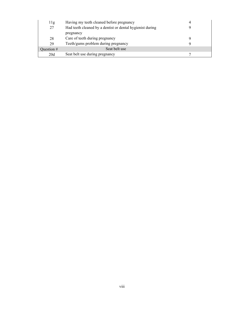| 11g          | Having my teeth cleaned before pregnancy                  |  |
|--------------|-----------------------------------------------------------|--|
| 27           | Had teeth cleaned by a dentist or dental hygienist during |  |
|              | pregnancy                                                 |  |
| 28           | Care of teeth during pregnancy                            |  |
| 29           | Teeth/gums problem during pregnancy                       |  |
| Ouestion $#$ | Seat belt use                                             |  |
| 20d          | Seat belt use during pregnancy                            |  |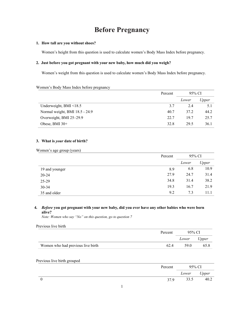# **Before Pregnancy**

### **1. How tall are you without shoes?**

Women's height from this question is used to calculate women's Body Mass Index before pregnancy.

# **2. Just before you got pregnant with your new baby, how much did you weigh?**

Women's weight from this question is used to calculate women's Body Mass Index before pregnancy.

#### Women's Body Mass Index before pregnancy

|                                | Percent | 95% CI |       |
|--------------------------------|---------|--------|-------|
|                                |         | Lower  | Upper |
| Underweight, BMI $\leq$ 18.5   | 3.7     | 2.4    | 5.1   |
| Normal weight, BMI 18.5 - 24.9 | 40.7    | 37.2   | 44.2  |
| Overweight, BMI 25-29.9        | 22.7    | 19.7   | 25.7  |
| Obese, BMI $30+$               | 32.8    | 29.5   | 36.1  |

# **3. What is** *your* **date of birth?**

Women's age group (years)

|                | Percent | 95% CI |       |
|----------------|---------|--------|-------|
|                |         | Lower  | Upper |
| 19 and younger | 8.9     | 6.8    | 10.9  |
| $20 - 24$      | 27.9    | 24.7   | 31.4  |
| 25-29          | 34.8    | 31.4   | 38.2  |
| $30 - 34$      | 19.3    | 16.7   | 21.9  |
| 35 and older   | 9.2     | 7.3    | 11.1  |

# **4.** *Before* **you got pregnant with your new baby, did you ever have any other babies who were born alive?**

*Note: Women who say "No" on this question, go to question 7*

#### Previous live birth

|                                   | Percent | 95% CI |       |
|-----------------------------------|---------|--------|-------|
|                                   |         | Lower  | Upper |
| Women who had previous live birth | 62.4    | 59.0   | 65.8  |

# Previous live birth grouped

| Percent | 95% CI |       |
|---------|--------|-------|
|         | Lower  | Upper |
| 37.9    | 33.5   | 40.2  |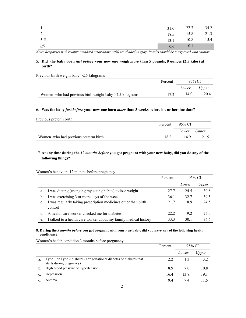|         | $31.0$ 27.7 $34.2$ |  |
|---------|--------------------|--|
|         | 18.5 15.8 21.3     |  |
| $3 - 5$ | 13.1 10.8 15.4     |  |
| >6      | 0.6 0.1 1.1        |  |

*Note: Responses with relative standard error above 30% are shaded in gray. Results should be interpreted with caution.*

# **5. Did the baby born** *just before* **your new one weigh** *more* **than 5 pounds, 8 ounces (2.5 kilos) at birth?**

Previous birth weight baby >2.5 kilograms

|                                                          | Percent | 95% CI      |      |
|----------------------------------------------------------|---------|-------------|------|
|                                                          |         | Lower Upper |      |
| Women who had previous birth weight baby > 2.5 kilograms | 17.2    | 14.0        | 20.4 |

#### 6. **Was the baby** *just before* **your new one born** *more* **than 3 weeks before his or her due date?**

| Previous preterm birth               |      |                |      |
|--------------------------------------|------|----------------|------|
|                                      |      | Percent 95% CI |      |
|                                      |      | Lower Upper    |      |
| Women who had previous preterm birth | 18.2 | 14.9           | 21.5 |

# 7. At any time during the 12 months before you got pregnant with your new baby, did you do any of the **following things?**

Women's behaviors 12 months before pregnancy

|    |                                                                           | Percent | 95% CI |       |
|----|---------------------------------------------------------------------------|---------|--------|-------|
|    |                                                                           |         | Lower  | Upper |
| a. | I was dieting (changing my eating habits) to lose weight                  | 27.7    | 24.5   | 30.8  |
| b. | I was exercising 3 or more days of the week                               | 36.1    | 32.7   | 39.5  |
| c. | I was regularly taking prescription medicines other than birth<br>control | 21.7    | 18.9   | 24.5  |
| d. | A health care worker checked me for diabetes                              | 22.2    | 19.2   | 25.0  |
| e. | I talked to a health care worker about my family medical history          | 33.3    | 30.1   | 36.6  |

# **8. During the** *3 months before* **you got pregnant with your** *new* **baby, did you have any of the following health conditions?**

Women's health condition 3 months before pregnancy

|    |                                                                                                  | Percent |       | 95% CI |
|----|--------------------------------------------------------------------------------------------------|---------|-------|--------|
|    |                                                                                                  |         | Lower | Upper  |
| a. | Type 1 or Type 2 diabetes (not gestational diabetes or diabetes that<br>starts during pregnancy) | 2.2     | 1.3   | 3.2    |
| b. | High blood pressure or hypertension                                                              | 8.9     | 7.0   | 10.8   |
| c. | Depression                                                                                       | 16.4    | 13.8  | 19.1   |
|    | Asthma                                                                                           | 9.4     | 7.4   | 11.5   |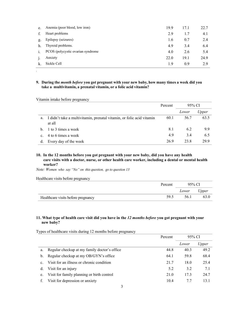| e. | Anemia (poor blood, low iron)     | 19.9 | 17.1 | 22.7 |
|----|-----------------------------------|------|------|------|
|    | Heart problems                    | 2.9  | 1.7  | 4.1  |
| g. | Epilepsy (seizures)               | 1.6  | 0.7  | 2.4  |
| h. | Thyroid problems.                 | 4.9  | 3.4  | 6.4  |
|    | PCOS (polycystic ovarian syndrome | 4.0  | 2.6  | 5.4  |
|    | Anxiety                           | 22.0 | 19.1 | 24.9 |
|    | Sickle Cell                       | 1.9  | 0.9  | 2.9  |

**<sup>9.</sup> During the** *month before* **you got pregnant with your new baby, how many times a week did you take a multivitamin, a prenatal vitamin, or a folic acid vitamin?**

Vitamin intake before pregnancy

*.*

|                |                                                                                 | Percent | 95% CI |       |
|----------------|---------------------------------------------------------------------------------|---------|--------|-------|
|                |                                                                                 |         | Lower  | Upper |
| a.             | I didn't take a multivitamin, prenatal vitamin, or folic acid vitamin<br>at all | 60.1    | 56.7   | 63.5  |
| h.             | 1 to 3 times a week                                                             | 8.1     | 6.2    | 9.9   |
| $\mathbf{c}$ . | 4 to 6 times a week                                                             | 4.9     | 3.4    | 6.5   |
| d.             | Every day of the week                                                           | 26.9    | 23.8   | 29.9  |

# **10. In the 12 months before you got pregnant with your new baby, did you have any health care visits with a doctor, nurse, or other health care worker, including a dental or mental health worker?**

*Note: Women who say "No" on this question, go to question 13*

| Healthcare visits before pregnancy |         |        |       |
|------------------------------------|---------|--------|-------|
|                                    | Percent | 95% CI |       |
|                                    |         | Lower  | Upper |
| Healthcare visits before pregnancy | 59.5    | 56.1   | 63.0  |

# **11. What type of health care visit did you have in the** *12 months before* **you got pregnant with your new baby?**

Types of healthcare visits during 12 months before pregnancy

|    |                                              | Percent | 95% CI |       |
|----|----------------------------------------------|---------|--------|-------|
|    |                                              |         | Lower  | Upper |
| a. | Regular checkup at my family doctor's office | 44.8    | 40.3   | 49.2  |
| b. | Regular checkup at my OB/GYN's office        | 64.1    | 59.8   | 68.4  |
| C. | Visit for an illness or chronic condition    | 21.7    | 18.0   | 25.4  |
| d. | Visit for an injury                          | 5.2     | 3.2    | 7.1   |
| e. | Visit for family planning or birth control   | 21.0    | 17.3   | 24.7  |
|    | Visit for depression or anxiety              | 10.4    | 7.7    | 13.1  |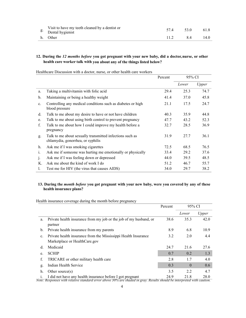| Visit to have my teeth cleaned by a dentist or<br>$\mathcal{E}$ Dental hygienist | 53.0 | 61.8 |
|----------------------------------------------------------------------------------|------|------|
| h. Other                                                                         | 84   | 14.0 |

# **12. During the** *12 months before* **you got pregnant with your new baby, did a doctor, nurse, or other health care worker talk with you about any of the things listed below?**

|                |                                                                                               | Percent | 95% CI |       |
|----------------|-----------------------------------------------------------------------------------------------|---------|--------|-------|
|                |                                                                                               |         | Lower  | Upper |
| a.             | Taking a multivitamin with folic acid                                                         | 29.4    | 25.3   | 74.7  |
| b.             | Maintaining or being a healthy weight                                                         | 41.4    | 37.0   | 45.8  |
| $\mathbf{c}$ . | Controlling any medical conditions such as diabetes or high<br>blood pressure                 | 21.1    | 17.5   | 24.7  |
| d.             | Talk to me about my desire to have or not have children                                       | 40.3    | 35.9   | 44.8  |
| e.             | Talk to me about using birth control to prevent pregnancy                                     | 47.7    | 43.2   | 52.3  |
| f.             | Talk to me about how I could improve my health before a<br>pregnancy                          | 32.7    | 28.5   | 36.9  |
| g.             | Talk to me about sexually transmitted infections such as<br>chlamydia, gonorrhea, or syphilis | 31.9    | 27.7   | 36.1  |
| h.             | Ask me if I was smoking cigarettes                                                            | 72.5    | 68.5   | 76.5  |
| 1.             | Ask me if someone was hurting me emotionally or physically                                    | 33.4    | 29.2   | 37.6  |
| $\mathbf{1}$   | Ask me if I was feeling down or depressed                                                     | 44.0    | 39.5   | 48.5  |
| Κ.             | Ask me about the kind of work I do                                                            | 51.2    | 46.7   | 55.7  |
| 1.             | Test me for HIV (the virus that causes AIDS)                                                  | 34.0    | 29.7   | 38.2  |

Healthcare Discussion with a doctor, nurse, or other health care workers

# **13. During the** *month before* **you got pregnant with your new baby, were you covered by any of these health insurance plans?**

Health insurance coverage during the month before pregnancy

|                |                                                                              | Percent | 95% CI   |       |
|----------------|------------------------------------------------------------------------------|---------|----------|-------|
|                |                                                                              |         | Lower    | Upper |
| a.             | Private health insurance from my job or the job of my husband, or<br>partner | 38.6    | 35.3     | 42.0  |
| $\mathbf{b}$ . | Private health insurance from my parents                                     | 8.9     | 6.8      | 10.9  |
| c.             | Private health insurance from the Mississippi Health Insurance               | 3.2     | 2.0      | 4.4   |
|                | Marketplace or HealthCare.gov                                                |         |          |       |
| d.             | Medicaid                                                                     | 24.7    | 21.6     | 27.6  |
| e.             | <b>SCHIP</b>                                                                 | 0.7     | 0.2      | 1.3   |
| f.             | TRICARE or other military health care                                        | 2.8     | 1.7      | 4.0   |
| g.             | Indian Health Service                                                        | 0.3     | $\Omega$ | 0.6   |
| h.             | Other source $(s)$                                                           | 3.5     | 2.2      | 4.7   |
| 1.             | I did not have any health insurance before I got pregnant                    | 24.9    | 21.8     | 28.0  |

*Note: Responses with relative standard error above 30% are shaded in gray. Results should be interpreted with caution.*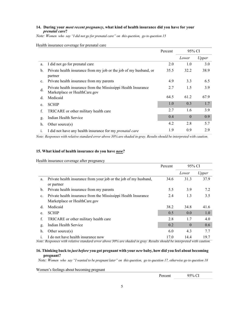# **14. During your** *most recent pregnancy***, what kind of health insurance did you have for your**  *prenatal care***?**

*Note: Women who say "I did not go for prenatal care" on this question, go to question 15*

|                |                                                                                                 | Percent | 95% CI   |       |
|----------------|-------------------------------------------------------------------------------------------------|---------|----------|-------|
|                |                                                                                                 |         | Lower    | Upper |
| a.             | I did not go for prenatal care                                                                  | 2.0     | 1.0      | 3.0   |
| b.             | Private health insurance from my job or the job of my husband, or<br>partner                    | 35.5    | 32.2     | 38.9  |
| $\mathbf{c}$ . | Private health insurance from my parents                                                        | 4.9     | 3.3      | 6.5   |
| d.             | Private health insurance from the Mississippi Health Insurance<br>Marketplace or HealthCare.gov | 2.7     | 1.5      | 3.9   |
| d.             | Medicaid                                                                                        | 64.5    | 61.2     | 67.9  |
| e.             | <b>SCHIP</b>                                                                                    | 1.0     | 0.3      | 1.7   |
| f.             | TRICARE or other military health care                                                           | 2.7     | 1.6      | 3.9   |
| g.             | Indian Health Service                                                                           | 0.4     | $\Omega$ | 0.9   |
| h.             | Other source $(s)$                                                                              | 4.2     | 2.8      | 5.7   |
| 1.             | I did not have any health insurance for my <i>prenatal care</i>                                 | 1.9     | 0.9      | 2.9   |

Health insurance coverage for prenatal care

*Note: Responses with relative standard error above 30% are shaded in gray. Results should be interpreted with caution.*

#### **15. What kind of health insurance do you have** *now***?**

Health insurance coverage after pregnancy

|    |                                                                                                 | Percent | 95% CI   |       |
|----|-------------------------------------------------------------------------------------------------|---------|----------|-------|
|    |                                                                                                 |         | Lower    | Upper |
| a. | Private health insurance from your job or the job of my husband,<br>or partner                  | 34.6    | 31.3     | 37.9  |
| b. | Private health insurance from my parents                                                        | 5.5     | 3.9      | 7.2   |
| c. | Private health insurance from the Mississippi Health Insurance<br>Marketplace or HealthCare.gov | 2.4     | 1.3      | 3.5   |
| d. | Medicaid                                                                                        | 38.2    | 34.8     | 41.6  |
| e. | <b>SCHIP</b>                                                                                    | 0.5     | 0.0      | 1.0   |
| f. | TRICARE or other military health care                                                           | 2.8     | 1.7      | 4.0   |
| g. | Indian Health Service                                                                           | 0.2     | $\theta$ | 0.6   |
| h. | Other source $(s)$                                                                              | 6.0     | 4.3      | 7.7   |
|    | I do not have health insurance now                                                              | 17.0    | 14.4     | 19.7  |

*Note: Responses with relative standard error above 30% are shaded in gray. Results should be interpreted with caution.*

# **16. Thinking back to** *just before* **you got pregnant with your** *new* **baby, how did you feel about becoming pregnant?**

*Note: Women who say "I wanted to be pregnant later" on this question, go to question 17, otherwise go to question 18*

Women's feelings about becoming pregnant

Percent 95% CI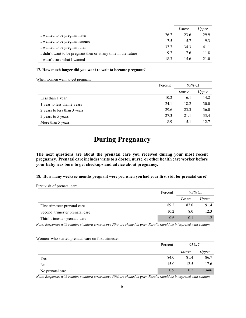|                                                                |      | Lower | <i>Jpper</i> |
|----------------------------------------------------------------|------|-------|--------------|
| I wanted to be pregnant later                                  | 26.7 | 23.6  | 29.9         |
| I wanted to be pregnant sooner                                 | 7.5  | 5.7   | 9.3          |
| I wanted to be pregnant then                                   | 37.7 | 34.3  | 41.1         |
| I didn't want to be pregnant then or at any time in the future | 9.7  | 7.6   | 11.8         |
| I wasn't sure what I wanted                                    | 18.3 | 15.6  | 21.0         |

#### **17. How much longer did you want to wait to become pregnant?**

When women want to get pregnant

First visit of prenatal care

|                              | Percent | 95% CI |       |
|------------------------------|---------|--------|-------|
|                              |         | Lower  | Upper |
| Less than 1 year             | 10.2    | 6.1    | 14.2  |
| 1 year to less than 2 years  | 24.1    | 18.2   | 30.0  |
| 2 years to less than 3 years | 29.6    | 23.3   | 36.0  |
| 3 years to 5 years           | 27.3    | 21.1   | 33.4  |
| More than 5 years            | 8.9     | 5.1    | 12.7  |

# **During Pregnancy**

**The next questions are about the prenatal care you received during your most recent pregnancy. Prenatal care includes visitsto a doctor, nurse, or other health care worker before your baby was born to get checkups and advice about pregnancy.**

# **18. How many weeks** *or* **months pregnant were you when you had your first visit for prenatal care?**

|                                | Percent | 95% CI |       |
|--------------------------------|---------|--------|-------|
|                                |         | Lower  | Upper |
| First trimester prenatal care  | 89.2    | 87.0   | 91.4  |
| Second trimester prenatal care | 10.2    | 8.0    | 12.3  |
| Third trimester prenatal care  | 0.6     | 0.1    |       |

*Note: Responses with relative standard error above 30% are shaded in gray. Results should be interpreted with caution.*

| Women who started prenatal care on first trimester |  |  |
|----------------------------------------------------|--|--|
|----------------------------------------------------|--|--|

|                  | Percent |       | 95% CI |
|------------------|---------|-------|--------|
|                  |         | Lower | Upper  |
| Yes              | 84.0    | 81.4  | 86.7   |
| No               | 15.0    | 12.5  | 17.6   |
| No prenatal care | 0.9     | 0.2   | 1.mi6  |

*Note: Responses with relative standard error above 30% are shaded in gray. Results should be interpreted with caution.*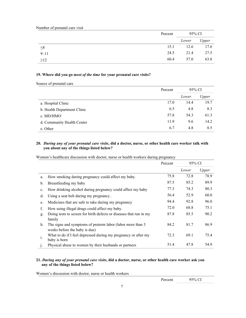Number of prenatal care visit

|           | Percent | 95% CI |       |
|-----------|---------|--------|-------|
|           |         | Lower  | Upper |
| $\leq 8$  | 15.1    | 12.6   | 17.6  |
| $9 - 11$  | 24.5    | 21.4   | 27.5  |
| $\geq$ 12 | 60.4    | 57.0   | 63.8  |

# **19. Where did you go** *most of the time* **for your prenatal care visits?**

Source of prenatal care

|                             | Percent | 95% CI |       |
|-----------------------------|---------|--------|-------|
|                             |         | Lower  | Upper |
| a. Hospital Clinic          | 17.0    | 14.4   | 19.7  |
| b. Health Department Clinic | 6.5     | 4.8    | 8.3   |
| c. MD/HMO                   | 57.8    | 54.3   | 61.3  |
| d. Community Health Center  | 11.9    | 9.6    | 14.2  |
| e. Other                    | 6.7     | 4.8    | 8.5   |

# **20.** *During any of your prenatal care visits***, did a doctor, nurse, or other health care worker talk with you about any of the things listed below?**

Women's healthcare discussion with doctor, nurse or health workers during pregnancy

|                |                                                                                              | Percent | 95% CI |       |
|----------------|----------------------------------------------------------------------------------------------|---------|--------|-------|
|                |                                                                                              |         | Lower  | Upper |
| a.             | How smoking during pregnancy could affect my baby.                                           | 75.8    | 72.8   | 78.9  |
| b.             | Breastfeeding my baby                                                                        | 87.5    | 85.2   | 89.9  |
| $\mathbf{c}$ . | How drinking alcohol during pregnancy could affect my baby                                   | 77.3    | 74.3   | 80.3  |
| d.             | Using a seat belt during my pregnancy.                                                       | 56.4    | 52.9   | 60.0  |
| e.             | Medicines that are safe to take during my pregnancy                                          | 94.4    | 92.8   | 96.0  |
| f.             | How using illegal drugs could affect my baby.                                                | 72.0    | 68.8   | 75.1  |
| g.             | Doing tests to screen for birth defects or diseases that run in my<br>family                 | 87.8    | 85.5   | 90.2  |
| h.             | The signs and symptoms of preterm labor (labor more than 3)<br>weeks before the baby is due) | 84.2    | 81.7   | 86.9  |
| 1.             | What to do if I feel depressed during my pregnancy or after my<br>baby is born               | 72.3    | 69.1   | 75.4  |
| j.             | Physical abuse to women by their husbands or partners                                        | 51.4    | 47.8   | 54.9  |

# **21.** *During any of your prenatal care visits***, did a doctor, nurse, or other health care worker ask you any of the things listed below?**

Women's discussion with doctor, nurse or health workers

Percent 95% CI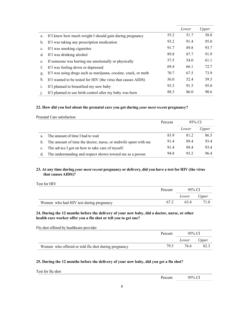|                |                                                                 |      | Lower | Upper |
|----------------|-----------------------------------------------------------------|------|-------|-------|
| a.             | If I knew how much weight I should gain during pregnancy        | 55.2 | 51.7  | 58.8  |
| b.             | If I was taking any prescription medication                     | 93.2 | 91.4  | 95.0  |
| $\mathbf{c}$ . | If I was smoking cigarettes                                     | 91.7 | 89.8  | 93.7  |
| d.             | If I was drinking alcohol                                       | 89.8 | 87.7  | 91.9  |
| e.             | If someone was hurting me emotionally or physically             | 57.5 | 54.0  | 61.1  |
| f.             | If I was feeling down or depressed                              | 69.4 | 66.1  | 72.7  |
| g.             | If I was using drugs such as marijuana, cocaine, crack, or meth | 70.7 | 67.5  | 73.9  |
| h.             | If I wanted to be tested for HIV (the virus that causes AIDS)   | 56.0 | 52.4  | 59.5  |
| 1.             | If I planned to breastfeed my new baby                          | 93.3 | 91.5  | 95.0  |
| $\mathbf{1}$   | If I planned to use birth control after my baby was born        | 88.3 | 86.0  | 90.6  |

# **22. How did you feel about the prenatal care you got during** *your most recent* **pregnancy?**

Prenatal Care satisfaction

|             |                                                                | Percent | 95% CI |       |
|-------------|----------------------------------------------------------------|---------|--------|-------|
|             |                                                                |         | Lower  | Upper |
| a.          | The amount of time I had to wait                               | 83.9    | 81.2   | 86.5  |
| $b_{1}$     | The amount of time the doctor, nurse, or midwife spent with me | 91.4    | 89.4   | 93.4  |
| $c_{\cdot}$ | The advice I got on how to take care of myself.                | 91.4    | 89.4   | 93.4  |
| d.          | The understanding and respect shown toward me as a person      | 94.8    | 93.2   | 96.4  |

# **23. At any time during** *your most recent* **pregnancy or delivery, did you have a test for HIV (the virus that causes AIDS)?**

Test for HIV

|                                         | Percent | 95% CI      |      |
|-----------------------------------------|---------|-------------|------|
|                                         |         | Lower Upper |      |
| Women who had HIV test during pregnancy | 67.2    | 634         | 71.0 |

# **24. During the 12 months before the delivery of your new baby, did a doctor, nurse, or other health care worker offer you a flu shot or tell you to get one?**

Flu shot offered by healthcare provider

|                                                     | Percent | 95% CI |       |
|-----------------------------------------------------|---------|--------|-------|
|                                                     |         | Lower  | Upper |
| Women who offered or told flu shot during pregnancy | 79.5    | 76.6   | 82.3  |

# **25. During the 12 months before the delivery of your new baby, did you get a flu shot?**

Test for flu shot

Percent 95% CI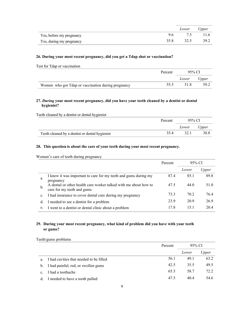|                          |      | Lower Upper |      |
|--------------------------|------|-------------|------|
| Yes, before my pregnancy | 9.6  |             |      |
| Yes, during my pregnancy | 35.8 | 32.5        | 39.2 |

# **26. During your most recent pregnancy, did you get a Tdap shot or vaccination?**

Test for Tdap or vaccination

|                                                    | Percent | 95% CL |       |
|----------------------------------------------------|---------|--------|-------|
|                                                    |         | Lower  | Upper |
| Women who got Tdap or vaccination during pregnancy | 55.5    |        | 59.2  |

# **27.** *During* **your most recent pregnancy, did you have your teeth cleaned by a dentist or dental hygienist?**

Teeth cleaned by a dentist or dental hygienist

|                                                | Percent | 95% CI |       |
|------------------------------------------------|---------|--------|-------|
|                                                |         | Lower  | Upper |
| Teeth cleaned by a dentist or dental hygienist | 354     | 32.1   | 38.8  |

# **28. This question is about the care of your teeth during your most recent pregnancy.**

Women's care of teeth during pregnancy

|    |                                                                                                | Percent | 95% CI |       |
|----|------------------------------------------------------------------------------------------------|---------|--------|-------|
|    |                                                                                                |         | Lower  | Upper |
| a. | I knew it was important to care for my teeth and gums during my<br>pregnancy                   | 87.4    | 85.1   | 89.8  |
| b. | A dental or other health care worker talked with me about how to<br>care for my teeth and gums | 47.5    | 44.0   | 51.0  |
| c. | I had insurance to cover dental care during my pregnancy                                       | 73.3    | 70.2   | 76.4  |
| d. | I needed to see a dentist for a problem                                                        | 23.9    | 20.9   | 26.9  |
| e. | I went to a dentist or dental clinic about a problem                                           | 17.8    | 15.1   | 20.4  |

# **29. During your most recent pregnancy, what kind of problem did you have with your teeth or gums?**

Teeth/gums problems

|                |                                         | Percent | 95% CI |       |
|----------------|-----------------------------------------|---------|--------|-------|
|                |                                         |         | Lower  | Upper |
| a.             | I had cavities that needed to be filled | 56.1    | 49.1   | 63.2  |
|                | b. I had painful, red, or swollen gums  | 42.5    | 35.5   | 49.5  |
| $\mathbf{c}$ . | I had a toothache                       | 65.5    | 58.7   | 72.2  |
|                | d. I needed to have a tooth pulled      | 47.5    | 40.4   | 54.6  |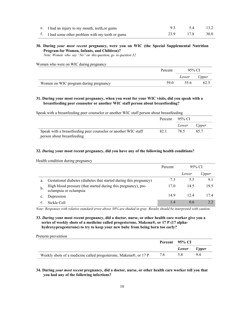| e. I had an injury to my mouth, teeth, or gums    | 5.4       | 13.2 |
|---------------------------------------------------|-----------|------|
| f. I had some other problem with my teeth or gums | 23.9 17.8 | 30.0 |

# **30. During** *your most recent* **pregnancy, were you on WIC (the Special Supplemental Nutrition Program for Women, Infants, and Children)?**

 *Note: Women who say "No" on this question, go to question 32*

Women who were on WIC during pregnancy

|                                       | Percent | 95% CI      |      |
|---------------------------------------|---------|-------------|------|
|                                       |         | Lower Upper |      |
| Women on WIC program during pregnancy | 59.0    | 55.6        | 62.5 |

### **31. During your most recent pregnancy, when you went for your WIC visits, did you speak with a breastfeeding peer counselor or another WIC staff person about breastfeeding?**

Speak with a breastfeeding peer counselor or another WIC staff person about breastfeeding

|                                                                |      | Percent 95% CI |       |
|----------------------------------------------------------------|------|----------------|-------|
|                                                                |      | Lower          | Upper |
| Speak with a breastfeeding peer counselor or another WIC staff | 82.1 | 78.5           | 857   |
| person about breastfeeding                                     |      |                |       |

#### **32.** *During* **your most recent pregnancy, did you have any of the following health conditions?**

Health condition during pregnancy

|    |                                                                                          | Percent | 95% CI |       |
|----|------------------------------------------------------------------------------------------|---------|--------|-------|
|    |                                                                                          |         | Lower  | Upper |
| a. | Gestational diabetes (diabetes that started during this pregnancy)                       | 7.3     | 5.5    | 9.1   |
| b. | High blood pressure (that started during this pregnancy), pre-<br>eclampsia or eclampsia | 17.0    | 14.5   | 19.5  |
|    | Depression                                                                               | 14.9    | 12.4   | 17.4  |
| e. | Sickle Cell                                                                              | 1.4     | 0.6    | 2.2   |

*Note: Responses with relative standard error above 30% are shaded in gray. Results should be interpreted with caution.*

**33.** *During* **your most recent pregnancy, did a doctor, nurse, or other health care worker give you a series of weekly shots of a medicine called progesterone, Makena®, or 17 P (17 alphahydroxyprogesterone) to try to keep your new baby from being born too early?**

| Preterm prevention                                               |     |                |       |
|------------------------------------------------------------------|-----|----------------|-------|
|                                                                  |     | Percent 95% CI |       |
|                                                                  |     | Lower          | Upper |
| Weekly shots of a medicine called progesterone, Makena®, or 17 P | 7.6 | 5.8            | 9.4   |

**34. During** *your most recent* **pregnancy, did a doctor, nurse, or other health care worker tell you that you had any of the following infections?**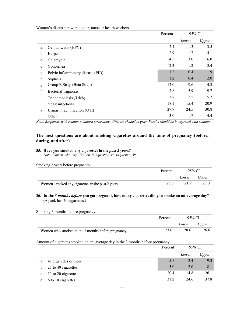Women's discussion with doctor, nurse or health workers

|                |                                   | Percent | 95% CI |       |
|----------------|-----------------------------------|---------|--------|-------|
|                |                                   |         | Lower  | Upper |
| a.             | Genital warts (HPV)               | 2.4     | 1.3    | 3.5   |
| b.             | Herpes                            | 2.9     | 1.7    | 4.1   |
| $\mathbf{c}$ . | Chlamydia                         | 4.5     | 3.0    | 6.0   |
| d.             | Gonorrhea                         | 2.3     | 1.2    | 3.4   |
| e.             | Pelvic inflammatory disease (PID) | 1.2     | 0.4    | 1.9   |
| f.             | <b>Syphilis</b>                   | 1.2     | 0.4    | 2.0   |
| g.             | Group B Strep (Beta Strep)        | 12.0    | 9.6    | 14.3  |
| h.             | Bacterial vaginosis               | 7.8     | 5.9    | 9.7   |
| 1.             | Trichomoniasis (Trich)            | 3.8     | 2.5    | 5.2   |
| $\mathbf{1}$   | Yeast infections                  | 18.1    | 15.4   | 20.9  |
| k.             | Urinary tract infection (UTI)     | 27.7    | 24.5   | 30.8  |
| l.             | Other                             | 3.0     | 1.7    | 4.4   |

*Note: Responses with relative standard error above 30% are shaded in gray. Results should be interpreted with caution.*

# **The next questions are about smoking cigarettes around the time of pregnancy (before, during, and after).**

# **35. Have you smoked any cigarettes in the** *past 2 years***?**

 *Note: Women who say "No" on this question, go to question 39*

| Smoking 2 years before pregnancy                |         |        |       |
|-------------------------------------------------|---------|--------|-------|
|                                                 | Percent | 95% CI |       |
|                                                 |         | Lower  | Upper |
| Women smoked any cigarettes in the past 2 years | 25.0    | 21.9   | 28.0  |

# **36. In the** *3 months before* **you got pregnant, how many cigarettes did you smoke on an average day?** (A pack has 20 cigarettes.)

Smoking 3 months before pregnancy

|                                                   | Percent | 95% CI |       |
|---------------------------------------------------|---------|--------|-------|
|                                                   |         | Lower  | Upper |
| Women who smoked in the 3 months before pregnancy | 23.6    | 20.6   | 26.6  |

# Amount of cigarettes smoked on an average day in the 3 months before pregnancy

|             |                        | Percent | 95% CI |       |
|-------------|------------------------|---------|--------|-------|
|             |                        |         | Lower  | Upper |
| a.          | 41 cigarettes or more  | 5.8     | 2.4    | 9.3   |
|             | b. 21 to 40 cigarettes | 5.0     | 2.0    | 8.1   |
| $c_{\cdot}$ | 11 to 20 cigarettes    | 20.4    | 14.8   | 26.1  |
| d.          | 6 to 10 cigarettes     | 31.2    | 24.6   | 37.8  |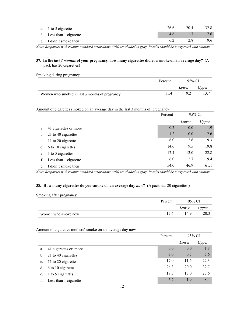| e. 1 to 5 cigarettes     | 26.6 | 20.4 | 32.8 |
|--------------------------|------|------|------|
| f. Less than 1 cigarette | 4.6  |      | 7.6  |
| g. I didn't smoke then   |      | 2.8  | 9.6  |

*Note: Responses with relative standard error above 30% are shaded in gray. Results should be interpreted with caution.*

# **37. In the** *last 3 months* **of your pregnancy, how many cigarettes did you smoke on an average day?** (A pack has 20 cigarettes)

| Smoking during pregnancy |  |  |
|--------------------------|--|--|
|                          |  |  |

|                                                | Percent | 95% CI |       |
|------------------------------------------------|---------|--------|-------|
|                                                |         | Lower  | Upper |
| Women who smoked in last 3 months of pregnancy |         | 92     | 13.7  |

Amount of cigarettes smoked on an average day in the last 3 months of pregnancy

|                |                       | Percent | 95% CI |       |
|----------------|-----------------------|---------|--------|-------|
|                |                       |         | Lower  | Upper |
| a.             | 41 cigarettes or more | 0.7     | 0.0    | 1.9   |
| b.             | 21 to 40 cigarettes   | 1.2     | 0.0    | 2.6   |
| $\mathbf{c}$ . | 11 to 20 cigarettes   | 6.0     | 2.6    | 9.3   |
| d.             | 6 to 10 cigarettes    | 14.6    | 9.5    | 19.8  |
| e.             | 1 to 5 cigarettes     | 17.4    | 12.0   | 22.8  |
| f.             | Less than 1 cigarette | 6.0     | 2.7    | 9.4   |
| g.             | I didn't smoke then   | 54.0    | 46.9   | 61.1  |

*Note: Responses with relative standard error above 30% are shaded in gray. Results should be interpreted with caution.*

# **38. How many cigarettes do you smoke on an average day** *now***?** (A pack has 20 cigarettes.)

Smoking after pregnancy

|                     | Percent | 95% CI |       |
|---------------------|---------|--------|-------|
|                     |         | Lower  | Upper |
| Women who smoke now | 17.6    | 14.9   | 20.3  |

Amount of cigarettes mothers' smoke on an average day now

|                |                       | Percent | 95% CI |       |
|----------------|-----------------------|---------|--------|-------|
|                |                       |         | Lower  | Upper |
| a.             | 41 cigarettes or more | 0.0     | 0.0    | 1.8   |
| $\mathbf{b}$ . | 21 to 40 cigarettes   | 3.0     | 0.5    | 5.6   |
| $\mathbf{c}$ . | 11 to 20 cigarettes   | 17.0    | 11.6   | 22.3  |
| d.             | 6 to 10 cigarettes    | 26.3    | 20.0   | 32.7  |
| e.             | 1 to 5 cigarettes     | 18.3    | 13.0   | 23.6  |
|                | Less than 1 cigarette | 5.2     | 1.9    | 8.4   |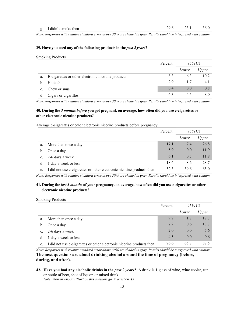*Note: Responses with relative standard error above 30% are shaded in gray. Results should be interpreted with caution.*

#### **39. Have you used any of the following products in the** *past 2 years***?**

Smoking Products

|    |                                                    | Percent | 95% CI |       |
|----|----------------------------------------------------|---------|--------|-------|
|    |                                                    |         | Lower  | Upper |
| a. | E-cigarettes or other electronic nicotine products | 8.3     | 6.3    | 10.2  |
| b. | Hookah                                             | 2.9     | 1.7    | 4.1   |
| c. | Chew or snus                                       | 0.4     | 0.0    | 0.8   |
| d. | Cigars or cigarillos                               | 6.3     | 4.5    | 8.0   |

*Note: Responses with relative standard error above 30% are shaded in gray. Results should be interpreted with caution.*

# **40. During the** *3 months before* **you got pregnant, on average, how often did you use e-cigarettes or other electronic nicotine products?**

Average e-cigarettes or other electronic nicotine products before pregnancy

|    |                                                                       | Percent | 95% CI |       |
|----|-----------------------------------------------------------------------|---------|--------|-------|
|    |                                                                       |         | Lower  | Upper |
| a. | More than once a day                                                  | 17.1    | 7.4    | 26.8  |
| b. | Once a day                                                            | 5.9     | 0.0    | 11.9  |
|    | c. 2-6 days a week                                                    | 6.1     | 0.5    | 11.8  |
| d. | 1 day a week or less                                                  | 18.6    | 8.6    | 28.7  |
| e. | I did not use e-cigarettes or other electronic nicotine products then | 52.3    | 39.6   | 65.0  |

*Note: Responses with relative standard error above 30% are shaded in gray. Results should be interpreted with caution.*

# **41. During the** *last 3 months* **of your pregnancy, on average, how often did you use e-cigarettes or other electronic nicotine products?**

Smoking Products

|         |                                                                       | Percent | 95% CI |       |
|---------|-----------------------------------------------------------------------|---------|--------|-------|
|         |                                                                       |         | Lower  | Upper |
| a.      | More than once a day                                                  | 9.7     | 1.7    | 17.7  |
| $b_{1}$ | Once a day                                                            | 7.2     | 0.6    | 13.7  |
|         | c. $2-6$ days a week                                                  | 2.0     | 0.0    | 5.6   |
|         | 1 day a week or less                                                  | 4.5     | 0.0    | 9.6   |
| e.      | I did not use e-cigarettes or other electronic nicotine products then | 76.6    | 65.7   | 87.5  |

*Note: Responses with relative standard error above 30% are shaded in gray. Results should be interpreted with caution.* **The next questions are about drinking alcohol around the time of pregnancy (before, during, and after).**

**42. Have you had any alcoholic drinks in the** *past 2 years***?** A drink is 1 glass of wine, wine cooler, can or bottle of beer, shot of liquor, or mixed drink.

 *Note: Women who say "No" on this question, go to question 45*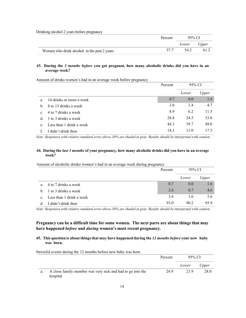Drinking alcohol 2 years before pregnancy

|                                             | Percent | 95% CI      |      |
|---------------------------------------------|---------|-------------|------|
|                                             |         | Lower Upper |      |
| Women who drink alcohol in the past 2 years | 577     | 54.2        | 61.2 |

#### **43. During the** *3 months before* **you got pregnant, how many alcoholic drinks did you have in an average week?**

Amount of drinks women's had in an average week before pregnancy

|             |                          | Percent | 95% CI |       |
|-------------|--------------------------|---------|--------|-------|
|             |                          |         | Lower  | Upper |
| a.          | 14 drinks or more a week | 0.7     | 0.0    | 1.4   |
| h.          | 8 to 13 drinks a week    | 3.0     | 1.4    | 4.7   |
| $c_{\cdot}$ | 4 to 7 drinks a week     | 8.9     | 6.2    | 11.5  |
| $d_{-}$     | 1 to 3 drinks a week     | 28.8    | 24.5   | 33.0  |
| e.          | Less than 1 drink a week | 44.3    | 39.7   | 49.0  |
|             | I didn't drink then      | 14.3    | 11.0   | 17.5  |

*Note: Responses with relative standard error above 30% are shaded in gray. Results should be interpreted with caution.*

# **44. During the** *last 3 months* **of your pregnancy, how many alcoholic drinks did you have in an average week?**

Amount of alcoholic drinks women's had in an average week during pregnancy

|                |                          | Percent | 95% CI |       |
|----------------|--------------------------|---------|--------|-------|
|                |                          |         | Lower  | Upper |
| $a_{-}$        | 4 to 7 drinks a week     | 0.7     | 0.0    | 1.6   |
|                | b. 1 to 3 drinks a week  | 2.6     | 0.7    | 4.6   |
| $\mathbf{c}$ . | Less than 1 drink a week | 3.6     | 1.6    | 5.6   |
| d              | I didn't drink then      | 93.0    | 90.2   | 95.9  |

*Note: Responses with relative standard error above 30% are shaded in gray. Results should be interpreted with caution.*

# **Pregnancy can be a difficult time for some women. The next parts are about things that may have happened** *before* **and** *during* **women's most recent pregnancy.**

# **45. This question is about thingsthat may have happened during the** *12 months before* **your new baby was born.**

Stressful events during the 12 months before new baby was born

|    |                                                                        | Percent | 95% CI |       |
|----|------------------------------------------------------------------------|---------|--------|-------|
|    |                                                                        |         | Lower  | Upper |
| a. | A close family member was very sick and had to go into the<br>hospital | 24.9    | 21.9   | 28.0  |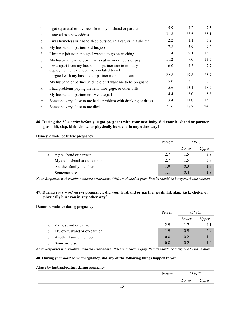| b.           | I got separated or divorced from my husband or partner                                               | 5.9  | 4.2  | 7.5  |
|--------------|------------------------------------------------------------------------------------------------------|------|------|------|
| c.           | I moved to a new address                                                                             | 31.8 | 28.5 | 35.1 |
| d.           | I was homeless or had to sleep outside, in a car, or in a shelter                                    | 2.2  | 1.1  | 3.2  |
| e.           | My husband or partner lost his job                                                                   | 7.8  | 5.9  | 9.6  |
| f.           | I lost my job even though I wanted to go on working                                                  | 11.4 | 9.1  | 13.6 |
| g.           | My husband, partner, or I had a cut in work hours or pay                                             | 11.2 | 9.0  | 13.5 |
| h.           | I was apart from my husband or partner due to military<br>deployment or extended work-related travel | 6.0  | 4.3  | 7.7  |
| i.           | I argued with my husband or partner more than usual                                                  | 22.8 | 19.8 | 25.7 |
| $\mathbf{1}$ | My husband or partner said he didn't want me to be pregnant                                          | 5.0  | 3.5  | 6.5  |
| k.           | I had problems paying the rent, mortgage, or other bills                                             | 15.6 | 13.1 | 18.2 |
| 1.           | My husband or partner or I went to jail                                                              | 4.4  | 3.0  | 5.8  |
| m.           | Someone very close to me had a problem with drinking or drugs                                        | 13.4 | 11.0 | 15.9 |
| n.           | Someone very close to me died                                                                        | 21.6 | 18.7 | 24.5 |

# **46. During the** *12 months before* **you got pregnant with your new baby, did your husband or partner push, hit, slap, kick, choke, or physically hurt you in any other way?**

Domestic violence before pregnancy

|                                   | Percent | 95% CI |       |
|-----------------------------------|---------|--------|-------|
|                                   |         | Lower  | Upper |
| My husband or partner<br>a.       | 2.7     | 1.5    | 3.8   |
| My ex-husband or ex-partner<br>a. | 2.7     | 15     | 3.9   |
| b. Another family member          | 1.0     | 0.3    | 1.7   |
| Someone else<br>c.                |         | (0.4)  |       |

*Note: Responses with relative standard error above 30% are shaded in gray. Results should be interpreted with caution.*

# **47. During** *your most recent* **pregnancy, did your husband or partner push, hit, slap, kick, choke, or physically hurt you in any other way?**

Domestic violence during pregnancy

|                |                                | Percent |       | 95% CI |
|----------------|--------------------------------|---------|-------|--------|
|                |                                |         | Lower | Upper  |
|                | a. My husband or partner       | 2.9     | 1.7   | 4. I   |
|                | b. My ex-husband or ex-partner | 1.9     | 0.9   | 2.9    |
| $\mathbf{c}$ . | Another family member          | 0.8     | 0.2   | 1.4    |
|                | Someone else                   | 0.8     | 02    |        |

*Note: Responses with relative standard error above 30% are shaded in gray. Results should be interpreted with caution.*

# **48. During** *your most recent* **pregnancy, did any of the following things happen to you?**

Abuse by husband/partner during pregnancy

| $I$ onoor | 50/  |                           |
|-----------|------|---------------------------|
|           | ower | $\sim$ $\sim$<br>یو موسما |
|           |      |                           |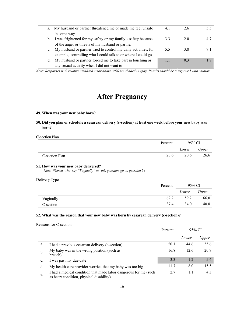| a.             | My husband or partner threatened me or made me feel unsafe      | 4.1 | 2.6        |  |
|----------------|-----------------------------------------------------------------|-----|------------|--|
|                | in some way                                                     |     |            |  |
| b.             | I was frightened for my safety or my family's safety because    | 3.3 | 2.0        |  |
|                | of the anger or threats of my husband or partner                |     |            |  |
| $\mathbf{c}$ . | My husband or partner tried to control my daily activities, for | 5.5 | 3.8        |  |
|                | example, controlling who I could talk to or where I could go    |     |            |  |
| d.             | My husband or partner forced me to take part in touching or     |     | $^{\circ}$ |  |
|                | any sexual activity when I did not want to                      |     |            |  |

*Note: Responses with relative standard error above 30% are shaded in gray. Results should be interpreted with caution.*

# **After Pregnancy**

# **49. When was your new baby born?**

**50. Did you plan or schedule a cesarean delivery (c-section) at least one week before your new baby was born?**

# C-section Plan

|                | Percent | 95% CI |       |
|----------------|---------|--------|-------|
|                |         | Lower  | Upper |
| C-section Plan | 23.6    | 20.6   | 26.6  |

#### **51. How was your new baby delivered?**

 *Note: Women who say "Vaginally" on this question, go to question 54*

#### Delivery Type

|           | Percent | 95% CI |       |
|-----------|---------|--------|-------|
|           |         | Lower  | Upper |
| Vaginally | 62.2    | 59.2   | 66.0  |
| C-section | 37.4    | 34.0   | 40.8  |

# **52. What was the reason that your new baby was born by cesarean delivery (c-section)?**

|  |  | Reasons for C-section |
|--|--|-----------------------|
|--|--|-----------------------|

|    |                                                                                                              | Percent | 95% CI |       |
|----|--------------------------------------------------------------------------------------------------------------|---------|--------|-------|
|    |                                                                                                              |         | Lower  | Upper |
| a. | I had a previous cesarean delivery (c-section)                                                               | 50.1    | 44.6   | 55.6  |
| b. | My baby was in the wrong position (such as<br>breech)                                                        | 16.8    | 12.6   | 20.9  |
| c. | I was past my due date                                                                                       | 3.3     | 1.2    | 5.4   |
| d. | My health care provider worried that my baby was too big                                                     | 11.7    | 8.0    | 15.5  |
| e. | I had a medical condition that made labor dangerous for me (such<br>as heart condition, physical disability) | 2.7     | 1.1    | 4.3   |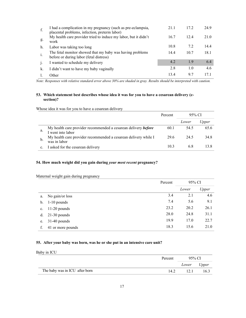| f.             | I had a complication in my pregnancy (such as pre-eclampsia,<br>placental problems, infection, preterm labor) | 21.1 | 17.2 | 24.9 |
|----------------|---------------------------------------------------------------------------------------------------------------|------|------|------|
| g.             | My health care provider tried to induce my labor, but it didn't<br>work                                       | 16.7 | 12.4 | 21.0 |
| h.             | Labor was taking too long                                                                                     | 10.8 | 7.2  | 14.4 |
| i.             | The fetal monitor showed that my baby was having problems<br>before or during labor (fetal distress)          | 14.4 | 10.7 | 18.1 |
| $\overline{1}$ | I wanted to schedule my delivery                                                                              | 4.2  | 1.9  | 6.4  |
| k.             | I didn't want to have my baby vaginally                                                                       | 2.8  | 1.0  | 4.6  |
|                | Other                                                                                                         | 13.4 | 97   | 171  |

*Note: Responses with relative standard error above 30% are shaded in gray. Results should be interpreted with caution.*

# **53. Which statement best describes whose idea it was for you to have a cesarean delivery (csection)?**

Whose idea it was for you to have a cesarean delivery

|    |                                                                                     | Percent | 95% CI |       |
|----|-------------------------------------------------------------------------------------|---------|--------|-------|
|    |                                                                                     |         | Lower  | Upper |
| a. | My health care provider recommended a cesarean delivery before<br>I went into labor | 60.1    | 54.5   | 65.6  |
| b  | My health care provider recommended a cesarean delivery while I<br>was in labor     | 29.6    | 24.5   | 34.8  |
|    | c. I asked for the cesarean delivery                                                | 10.3    | 6.8    | 13 8  |

# **54. How much weight did you gain during** *your most recent* **pregnancy?**

# Maternal weight gain during pregnancy

|               |                   | Percent | 95% CI |       |
|---------------|-------------------|---------|--------|-------|
|               |                   |         | Lower  | Upper |
| a.            | No gain/or loss   | 3.4     | 2.1    | 4.6   |
| $\mathbf b$ . | $1-10$ pounds     | 7.4     | 5.6    | 9.1   |
| c.            | $11-20$ pounds    | 23.2    | 20.2   | 26.1  |
| d.            | $21-30$ pounds    | 28.0    | 24.8   | 31.1  |
| e.            | $31-40$ pounds    | 19.9    | 17.0   | 22.7  |
|               | 41 or more pounds | 18.3    | 15.6   | 21.0  |

# **55. After your baby was born, was he or she put in an intensive care unit?**

Baby in ICU

|                                | Percent | 95% CI      |      |
|--------------------------------|---------|-------------|------|
|                                |         | Lower Upper |      |
| The baby was in ICU after born | 14.2    |             | 16.3 |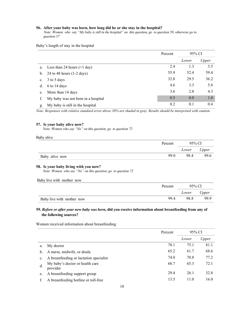#### **56. After your baby was born, how long did he or she stay in the hospital?**

 *Note: Women who say "My baby is still in the hospital" on this question, go to question 59, otherwise go to question 57*

Baby's length of stay in the hospital

|                |                                     | Percent | 95% CI |       |
|----------------|-------------------------------------|---------|--------|-------|
|                |                                     |         | Lower  | Upper |
| a.             | Less than 24 hours $(\leq 1$ day)   | 2.4     | 1.3    | 3.5   |
| b.             | 24 to 48 hours $(1-2 \text{ days})$ | 55.9    | 52.4   | 59.4  |
| $\mathbf{c}$ . | 3 to 5 days                         | 32.8    | 29.5   | 36.2  |
| d.             | 6 to 14 days                        | 4.6     | 3.3    | 5.8   |
| e.             | More than 14 days                   | 3.6     | 2.8    | 4.3   |
|                | My baby was not born in a hospital  | 0.5     | 0.0    | 1.0   |
| g.             | My baby is still in the hospital    | 0.2     | 0.1    | 0.4   |

*Note: Responses with relative standard error above 30% are shaded in gray. Results should be interpreted with caution.*

#### **57. Is your baby alive now?**

 *Note: Women who say "No" on this question, go to question 72*

| Baby alive     |         |             |      |  |
|----------------|---------|-------------|------|--|
|                | Percent | 95% CI      |      |  |
|                |         | Lower Upper |      |  |
| Baby alive now | 99.0    | 98.4        | 99.6 |  |

#### **58. Is your baby living with you now?**

 *Note: Women who say "No" on this question, go to question 72*

#### Baby live with mother now

|                           | Percent | 95% CI      |      |
|---------------------------|---------|-------------|------|
|                           |         | Lower Upper |      |
| Baby live with mother now | 99.4    | 98.8        | 99.9 |

# **59.** *Before or after your new baby was born***, did you receive information about breastfeeding from any of the following sources?**

Percent 95% CI *Lower Upper* a. My doctor 78.1 75.1 81.1 b. A nurse, midwife, or doula 65.2 61.7 68.6 c. A breastfeeding or lactation specialist 74.0 70.8 77.2 d. My baby's doctor or health care provider 68.7 65.3 72.1 e. A breastfeeding support group 29.4 26.1 32.8 f. A breastfeeding hotline or toll-free 13.5 11.0 16.0

## Women received information about breastfeeding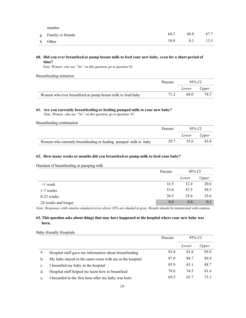| number               |      |      |      |
|----------------------|------|------|------|
| g. Family or friends | 64.3 | 60.8 | 67.7 |
| h. Other             | 10.9 | 8.3  | 13.5 |

# **60. Did you ever breastfeed or pump breast milk to feed your new baby, even for a short period of time?**

 *Note: Women who say "No" on this question, go to question 65*

Breastfeeding initiation

|                                                            | Percent | 95% CL      |      |
|------------------------------------------------------------|---------|-------------|------|
|                                                            |         | Lower Upper |      |
| Women who ever breastfeed or pump breast milk to feed baby | 71.2    | 68 O        | 74.5 |

# **61. Are you currently breastfeeding or feeding pumped milk to your new baby?**

 *Note: Women who say "No" on this question, go to question 62*

Breastfeeding continuation

|                                                                  | Percent | $95\%$ CI |       |
|------------------------------------------------------------------|---------|-----------|-------|
|                                                                  |         | Lower     | Upper |
| Women who currently breastfeeding or feeding pumped milk to baby | 39.7    | 35.6      | 43.8  |

# **62. How many weeks or months did you breastfeed or pump milk to feed your baby?**

Duration of breastfeeding or pumping milk

|                     | Percent | 95% CI |       |
|---------------------|---------|--------|-------|
|                     |         | Lower  | Upper |
| $\leq$ 1 week       | 16.5    | 12.4   | 20.6  |
| 1-7 weeks           | 53.0    | 47.5   | 58.5  |
| 8-23 weeks          | 30.5    | 25.4   | 35.6  |
| 24 weeks and longer | 0.0     | 0.0    | 0.1   |

*Note: Responses with relative standard error above 30% are shaded in gray. Results should be interpreted with caution.*

# **63. This question asks about things that may have happened at the hospital where your new baby was born.**

|    |                                                         | Percent | 95% CI |       |
|----|---------------------------------------------------------|---------|--------|-------|
|    |                                                         |         | Lower  | Upper |
| a. | Hospital staff gave me information about breastfeeding  | 93.8    | 91.8   | 95.9  |
| b. | My baby stayed in the same room with me at the hospital | 87.0    | 84.7   | 89.4  |
| c. | I breastfed my baby in the hospital                     | 85.9    | 83.1   | 88.7  |
| d. | Hospital staff helped me learn how to breastfeed        | 78.0    | 74.5   | 81.6  |
| e. | I breastfed in the first hour after my baby was born    | 69.5    | 65.7   | 73.3  |

Baby-friendly Hospitals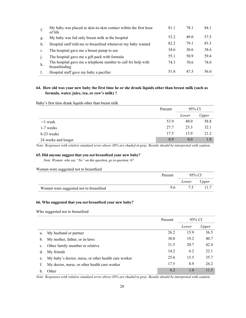| f.             | My baby was placed in skin-to-skin contact within the first hour<br>of life    | 81.1 | 78.1 | 84.1 |
|----------------|--------------------------------------------------------------------------------|------|------|------|
| g.             | My baby was fed only breast milk at the hospital                               | 53.2 | 49.0 | 57.5 |
| h.             | Hospital staff told me to breastfeed whenever my baby wanted                   | 82.2 | 79.1 | 85.3 |
| $\mathbf{1}$   | The hospital gave me a breast pump to use                                      | 34.6 | 30.6 | 38.6 |
| $\overline{1}$ | The hospital gave me a gift pack with formula                                  | 55.1 | 50.9 | 59.4 |
| k.             | The hospital gave me a telephone number to call for help with<br>breastfeeding | 74.3 | 70.6 | 78.0 |
|                | Hospital staff gave my baby a pacifier                                         | 51.8 | 47.5 | 56.0 |

# 64. How old was your new baby the first time he or she drank liquids other than breast milk (such as **formula, water, juice, tea, or cow's milk) ?**

Baby's first time drank liquids other than breast milk

|                     | Percent |       | 95% CI |
|---------------------|---------|-------|--------|
|                     |         | Lower | Upper  |
| $\leq$ week         | 53.9    | 49.0  | 58.8   |
| 1-7 weeks           | 27.7    | 23.3  | 32.1   |
| 8-23 weeks          | 17.5    | 13.9  | 21.2   |
| 24 weeks and longer | 0.9     | 0.0   | 1.8    |

*Note: Responses with relative standard error above 30% are shaded in gray. Results should be interpreted with caution.*

# **65. Did anyone suggest that you** *not* **breastfeed your new baby?**

*Note: Women who say "No" on this question, go to question 67*

Women were suggested not to breastfeed

|                                        | Percent | 95% CI |       |
|----------------------------------------|---------|--------|-------|
|                                        |         | Lower  | Upper |
| Women were suggested not to breastfeed | 9.6     |        |       |

# **66. Who suggested that you** *not* **breastfeed your new baby?**

Who suggested not to breastfeed

|                |                                                      | Percent | 95% CI |       |
|----------------|------------------------------------------------------|---------|--------|-------|
|                |                                                      |         | Lower  | Upper |
| a.             | My husband or partner                                | 26.2    | 15.9   | 36.5  |
| $\mathbf{b}$ . | My mother, father, or in-laws                        | 30.0    | 19.2   | 40.7  |
| $c_{\cdot}$    | Other family member or relative                      | 31.5    | 20.7   | 42.4  |
| d.             | My friends                                           | 14.2    | 6.2    | 22.1  |
| e.             | My baby's doctor, nurse, or other health care worker | 25.6    | 15.5   | 35.7  |
|                | My doctor, nurse, or other health care worker        | 17.5    | 8.9    | 26.2  |
| h.             | Other                                                | 6.2     | 1.0    | 11.5  |

*Note: Responses with relative standard error above 30% are shaded in gray. Results should be interpreted with caution.*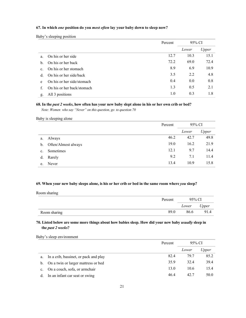# **67. In which** *one* **position do you** *most often* **lay your baby down to sleep now?**

Baby's sleeping position

|    |                            | Percent | 95% CI |       |
|----|----------------------------|---------|--------|-------|
|    |                            |         | Lower  | Upper |
| a. | On his or her side         | 12.7    | 10.3   | 15.1  |
| b. | On his or her back         | 72.2    | 69.0   | 72.4  |
| c. | On his or her stomach      | 8.9     | 6.9    | 10.9  |
| d. | On his or her side/back    | 3.5     | 2.2    | 4.8   |
| e  | On his or her side/stomach | 0.4     | 0.0    | 0.8   |
| f. | On his or her back/stomach | 1.3     | 0.5    | 2.1   |
| g. | All 3 positions            | 1.0     | 0.3    | 1.8   |

## **68. In the** *past 2 weeks***, how often has your new baby slept alone in his or her own crib or bed?**

 *Note: Women who say "Never" on this question, go to question 70*

#### Baby is sleeping alone

|                |                     | Percent | 95% CI |       |
|----------------|---------------------|---------|--------|-------|
|                |                     |         | Lower  | Upper |
| a.             | Always              | 46.2    | 42.7   | 49.8  |
| $\mathbf{b}$ . | Often/Almost always | 19.0    | 16.2   | 21.9  |
| c.             | Sometimes           | 12.1    | 9.7    | 14.4  |
| d.             | Rarely              | 9.2     | 7.1    | 11.4  |
| e.             | Never               | 13.4    | 10.9   | 15.8  |

#### **69. When your new baby sleeps alone, is his or her crib or bed in the same room where** *you* **sleep?**

Room sharing

|              | Percent | 95% CI |       |
|--------------|---------|--------|-------|
|              |         | Lower  | Upper |
| Room sharing | 89.0    | 86.6   | 91.4  |

# **70. Listed below are some more things about how babies sleep. How did your new baby** *usually* **sleep in the** *past 2 weeks***?**

Baby's sleep environment

|             |                                        | Percent | 95% CI |       |
|-------------|----------------------------------------|---------|--------|-------|
|             |                                        |         | Lower  | Upper |
| a.          | In a crib, bassinet, or pack and play  | 82.4    | 79.7   | 85.2  |
|             | b. On a twin or larger mattress or bed | 35.9    | 32.4   | 39.4  |
| $c_{\cdot}$ | On a couch, sofa, or armchair          | 13.0    | 10.6   | 15.4  |
| d.          | In an infant car seat or swing         | 46.4    | 42.7   | 50.0  |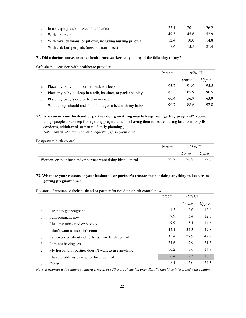| e In a sleeping sack or wearable blanket                      | 23.1 | 20.1 | 26.2 |
|---------------------------------------------------------------|------|------|------|
| f. With a blanket                                             | 49.3 | 45.6 | 52.9 |
| g. With toys, cushions, or pillows, including nursing pillows | 12.4 | 10.0 | 14.8 |
| h. With crib bumper pads (mesh or non-mesh)                   | 18.6 | 15.8 | 21.4 |

# **71. Did a doctor, nurse, or other health care worker tell you any of the following things?**

Safe sleep discussion with healthcare providers

|                |                                                              | Percent | 95% CI |       |
|----------------|--------------------------------------------------------------|---------|--------|-------|
|                |                                                              |         | Lower  | Upper |
| a.             | Place my baby on his or her back to sleep                    | 93.7    | 91.9   | 95.5  |
| $b_{1}$        | Place my baby to sleep in a crib, bassinet, or pack and play | 88.2    | 85.9   | 90.5  |
| $\mathbf{c}$ . | Place my baby's crib or bed in my room                       | 60.4    | 56.9   | 63.9  |
| d.             | What things should and should not go in bed with my baby     | 90.7    | 88.6   | 92.8  |

**72. Are you or your husband or partner doing anything** *now* **to keep from getting pregnant?** (Some things people do to keep from getting pregnant include having their tubes tied, using birth control pills, condoms, withdrawal, or natural family planning.)

 *Note: Women who say "Yes" on this question, go to question 74*

Postpartum birth control

|                                                            | Percent | 95% CI |       |
|------------------------------------------------------------|---------|--------|-------|
|                                                            |         | Lower  | Upper |
| Women or their husband or partner were doing birth control | 79.7    | 76.8   | 82.6  |

# **73. What are your reasons or your husband's or partner's reasons for not doing anything to keep from getting pregnant** *now***?**

Reasons of women or their husband or partner for not doing birth control now

|                |                                                    | 95% CI<br>Percent |       |       |
|----------------|----------------------------------------------------|-------------------|-------|-------|
|                |                                                    |                   | Lower | Upper |
| a.             | I want to get pregnant                             | 11.5              | 6.6   | 16.4  |
| b.             | I am pregnant now                                  | 7.9               | 3.4   | 12.3  |
| $\mathbf{c}$ . | I had my tubes tied or blocked                     | 9.9               | 5.1   | 14.6  |
| d.             | I don't want to use birth control                  | 42.1              | 34.3  | 49.8  |
| e.             | I am worried about side effects from birth control | 35.4              | 27.9  | 42.9  |
| f.             | I am not having sex                                | 24.6              | 17.9  | 31.3  |
| g.             | My husband or partner doesn't want to use anything | 10.2              | 5.6   | 14.9  |
| h.             | I have problems paying for birth control           | 6.4               | 2.5   | 10.3  |
| g.             | Other                                              | 18.1              | 12.0  | 24.3  |

*Note: Responses with relative standard error above 30% are shaded in gray. Results should be interpreted with caution.*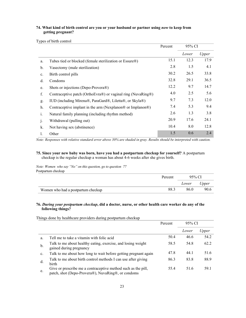# **74. What kind of birth control are you or your husband or partner using** *now* **to keep from getting pregnant?**

Types of birth control

|                |                                                              | Percent | 95% CI |       |
|----------------|--------------------------------------------------------------|---------|--------|-------|
|                |                                                              |         | Lower  | Upper |
| a.             | Tubes tied or blocked (female sterilization or Essure®)      | 15.1    | 12.3   | 17.9  |
| b.             | Vasectomy (male sterilization)                               | 2.8     | 1.5    | 4.1   |
| $\mathbf{c}$ . | Birth control pills                                          | 30.2    | 26.5   | 33.8  |
| d.             | Condoms                                                      | 32.8    | 29.1   | 36.5  |
| e.             | Shots or injections (Depo-Provera®)                          | 12.2    | 9.7    | 14.7  |
| f.             | Contraceptive patch (OrthoEvra®) or vaginal ring (NuvaRing®) | 4.0     | 2.5    | 5.6   |
| g.             | IUD (including Mirena®, ParaGard®, Liletta®, or Skyla®)      | 9.7     | 7.3    | 12.0  |
| h.             | Contraceptive implant in the arm (Nexplanon® or Implanon®)   | 7.4     | 5.3    | 9.4   |
| i.             | Natural family planning (including rhythm method)            | 2.6     | 1.3    | 3.8   |
| $\mathbf{1}$   | Withdrawal (pulling out)                                     | 20.9    | 17.6   | 24.1  |
| k.             | Not having sex (abstinence)                                  | 10.4    | 8.0    | 12.8  |
|                | Other                                                        | 1.5     | 0.6    | 2.4   |

*Note: Responses with relative standard error above 30% are shaded in gray. Results should be interpreted with caution.*

# **75. Since your new baby was born, have you had a postpartum checkup for yourself?** A postpartum checkup is the regular checkup a woman has about 4-6 weeks after she gives birth.

*Note: Women who say "No" on this question, go to question 77* Postpartum checkup

|                                    | Percent | 95% CI |       |  |
|------------------------------------|---------|--------|-------|--|
|                                    |         | Lower  | Upper |  |
| Women who had a postpartum checkup | 88.3    | 86.0   | 90.6  |  |

# **76.** *During your postpartum checkup***, did a doctor, nurse, or other health care worker do any of the following things?**

Things done by healthcare providers during postpartum checkup

|    |                                                                                                                     | 95% CI<br>Percent |       |       |
|----|---------------------------------------------------------------------------------------------------------------------|-------------------|-------|-------|
|    |                                                                                                                     |                   | Lower | Upper |
| a. | Tell me to take a vitamin with folic acid                                                                           | 50.4              | 46.6  | 54.2  |
| b. | Talk to me about healthy eating, exercise, and losing weight<br>gained during pregnancy                             | 58.5              | 54.8  | 62.2  |
| c. | Talk to me about how long to wait before getting pregnant again                                                     | 47.8              | 44.1  | 51.6  |
| d. | Talk to me about birth control methods I can use after giving<br>birth                                              | 86.3              | 83.8  | 88.9  |
| e. | Give or prescribe me a contraceptive method such as the pill,<br>patch, shot (Depo-Provera®), NuvaRing®, or condoms | 55.4              | 51.6  | 59.1  |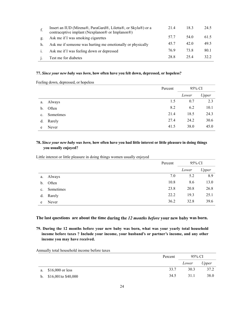|                | Insert an IUD (Mirena®, ParaGard®, Liletta®, or Skyla®) or a<br>contraceptive implant (Nexplanon® or Implanon®) | 21.4 | 18.3 | 24.5 |
|----------------|-----------------------------------------------------------------------------------------------------------------|------|------|------|
| g.             | Ask me if I was smoking cigarettes                                                                              | 57.7 | 54.0 | 61.5 |
| h.             | Ask me if someone was hurting me emotionally or physically                                                      | 45.7 | 42.0 | 49.5 |
| $\mathbf{1}$ . | Ask me if I was feeling down or depressed                                                                       | 76.9 | 73.8 | 80.1 |
|                | Test me for diabetes                                                                                            | 28.8 | 25.4 | 32.2 |

# **77.** *Since your new baby was born***, how often have you felt down, depressed, or hopeless?**

Feeling down, depressed, or hopeless

|             |           | Percent | 95% CI |       |
|-------------|-----------|---------|--------|-------|
|             |           |         | Lower  | Upper |
| a.          | Always    | 1.5     | 0.7    | 2.3   |
| b.          | Often     | 8.2     | 6.2    | 10.1  |
| $c_{\cdot}$ | Sometimes | 21.4    | 18.5   | 24.3  |
| d.          | Rarely    | 27.4    | 24.2   | 30.6  |
| e           | Never     | 41.5    | 38.0   | 45.0  |

# **78.** *Since your new baby was born,* **how often have you had little interest or little pleasure in doing things you usually enjoyed?**

Little interest or little pleasure in doing things women usually enjoyed

|                |           | Percent | 95% CI |       |
|----------------|-----------|---------|--------|-------|
|                |           |         | Lower  | Upper |
| a.             | Always    | 7.0     | 5.2    | 8.9   |
| $\mathbf b$ .  | Often     | 10.8    | 8.6    | 13.0  |
| $\mathbf{c}$ . | Sometimes | 23.8    | 20.8   | 26.8  |
| d.             | Rarely    | 22.2    | 19.3   | 25.1  |
| e              | Never     | 36.2    | 32.8   | 39.6  |

**The last questions are about the time during the** *12 months before* **your new baby was born.**

**79. During the 12 months before your new baby was born, what was your yearly total household income before taxes ? Include your income, your husband's or partner's income, and any other income you may have received.** 

|    |                      | Percent | 95% CI |       |
|----|----------------------|---------|--------|-------|
|    |                      |         | Lower  | Upper |
| a. | $$16,000$ or less    | 33.7    | 30.3   | 37.2  |
| b. | \$16,001 to \$40,000 | 34.5    | 31.1   | 38.0  |

Annually total household income before taxes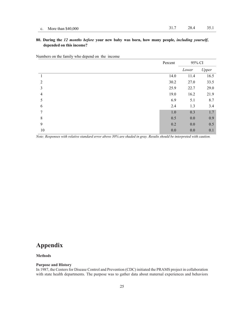# **80. During the** *12 months before* **your new baby was born, how many people,** *including yourself***, depended on this income?**

Numbers on the family who depend on the income

|                | Percent | 95% CI |       |
|----------------|---------|--------|-------|
|                |         | Lower  | Upper |
| 1              | 14.0    | 11.4   | 16.5  |
| $\mathfrak{D}$ | 30.2    | 27.0   | 33.5  |
| 3              | 25.9    | 22.7   | 29.0  |
| $\overline{4}$ | 19.0    | 16.2   | 21.9  |
| 5              | 6.9     | 5.1    | 8.7   |
| 6              | 2.4     | 1.3    | 3.4   |
| 7              | $1.0\,$ | 0.3    | 1.7   |
| 8              | 0.5     | 0.0    | 0.9   |
| 9              | 0.2     | 0.0    | 0.5   |
| 10             | 0.0     | 0.0    | 0.1   |

*Note: Responses with relative standard error above 30% are shaded in gray. Results should be interpreted with caution.*

# **Appendix**

#### **Methods**

# **Purpose and History**

In 1987, the Centers for Disease Control and Prevention (CDC) initiated the PRAMS project in collaboration with state health departments. The purpose was to gather data about maternal experiences and behaviors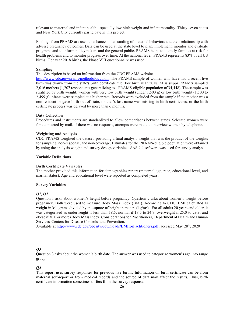relevant to maternal and infant health, especially low birth weight and infant mortality. Thirty-seven states and New York City currently participate in this project.

Findings from PRAMS are used to enhance understanding of maternal behaviors and their relationship with adverse pregnancy outcomes. Data can be used at the state level to plan, implement, monitor and evaluate programs and to inform policymakers and the general public. PRAMS helps to identify families at risk for health problems and to monitor progress over time. At the national level, PRAMS represents 83% of all US births. For year 2018 births, the Phase VIII questionnaire was used.

#### **Sampling**

This description is based on information from the CDC PRAMS website

[http://www.cdc.gov/prams/methodology.htm.](http://www.cdc.gov/prams/methodology.htm) The PRAMS sample of women who have had a recent live birth was drawn from the state's birth certificate file. For birth year 2018, Mississippi PRAMS sampled 2,016 mothers (1,207 respondents generalizing to a PRAMS-eligible population of 34,448). The sample was stratified by birth weight: women with very low birth weight (under 1,500 g) or low birth weight (1,500 to 2,499 g) infants were sampled at a higher rate. Records were excluded from the sample if the mother was a non-resident or gave birth out of state, mother's last name was missing in birth certificates, or the birth certificate process was delayed by more than 6 months.

#### **Data Collection**

Procedures and instruments are standardized to allow comparisons between states. Selected women were first contacted by mail. If there was no response, attempts were made to interview women by telephone.

#### **Weighting and Analysis**

CDC PRAMS weighted the dataset, providing a final analysis weight that was the product of the weights for sampling, non-response, and non-coverage. Estimates for the PRAMS-eligible population were obtained by using the analysis weight and survey design variables. SAS 9.4 software was used for survey analysis.

#### **Variable Definitions**

#### **Birth Certificate Variables**

The mother provided this information for demographics report (maternal age, race, educational level, and marital status). Age and educational level were reported as completed years.

#### **Survey Variables**

#### *Q1, Q2*

Question 1 asks about women's height before pregnancy. Question 2 asks about women's weight before pregnancy. Both were used to measure Body Mass Index (BMI). According to CDC, BMI calculated as weight in kilograms divided by the square of height in meters (kg/m<sup>2</sup>). For all adults 20 years and older, it was categorized as underweight if less than 18.5; normal if 18.5 to 24.9; overweight if 25.0 to 29.9; and obese if 30.0 or more (Body Mass Index: Considerations for Practitioners, Department of Health and Human Services Centers for Disease Controls and Prevention.

Available at [http://www.cdc.gov/obesity/downloads/BMIforPactitioners.pdf,](http://www.cdc.gov/obesity/downloads/BMIforPactitioners.pdf) accessed May 28<sup>th</sup>, 2020).

#### *Q3*

Question 3 asks about the women's birth date. The answer was used to categorize women's age into range group.

#### *Q4*

This report uses survey responses for previous live births. Information on birth certificate can be from maternal self-report or from medical records and the source of data may affect the results. Thus, birth certificate information sometimes differs from the survey response.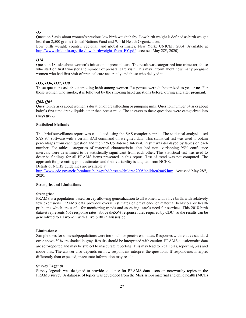#### *Q5*

Question 5 asks about women's previous low birth weight baby. Low birth weight is defined as birth weight less than 2,500 grams (United Nations Fund and World Health Organization.

Low birth weight: country, regional, and global estimates. New York: UNICEF, 2004. Available at [http://www.childinfo.org/files/low\\_birthweight\\_from\\_EY.pdf,](http://www.childinfo.org/files/low_birthweight_from_EY.pdf) accessed May 28<sup>th</sup>, 2020).

#### *Q18*

Question 18 asks about women's initiation of prenatal care. The result was categorized into trimester, those who start on first trimester and number of prenatal care visit. This may inform about how many pregnant women who had first visit of prenatal care accurately and those who delayed it.

#### *Q35, Q36, Q37, Q38*

These questions ask about smoking habit among women. Responses were dichotomized as yes or no. For those women who smoke, it is followed by the smoking habit questions before, during and after pregnant.

#### *Q62, Q64*

Question 62 asks about women's duration of breastfeeding or pumping milk. Question number 64 asks about baby's first time drank liquids other than breast milk. The answers to these questions were categorized into range group.

#### **Statistical Methods**

This brief surveillance report was calculated using the SAS complex sample. The statistical analysis used SAS 9.4 software with a certain SAS command on weighted data. This statistical test was used to obtain percentages from each question and the 95% Confidence Interval. Result was displayed by tables on each number. For tables, categories of maternal characteristics that had non-overlapping 95% confidence intervals were determined to be statistically significant from each other. This statistical test was used to describe findings for all PRAMS items presented in this report. Test of trend was not computed. The approach for presenting point estimates and their variability is adapted from NCHS.

Details of NCHS guidelines are available at

[http://www.cdc.gov/nchs/products/pubs/pubd/hestats/children2005/children2005.htm.](http://www.cdc.gov/nchs/products/pubs/pubd/hestats/children2005/children2005.htm) Accessed May 28<sup>th</sup>, 2020.

#### **Strengths and Limitations**

#### **Strengths:**

PRAMS is a population-based survey allowing generalization to all women with a live birth, with relatively few exclusions. PRAMS data provides overall estimates of prevalence of maternal behaviors or health problems which are useful for monitoring trends and assessing state's need for services. This 2018 birth dataset represents 60% response rates, above the55% response rates required by CDC, so the results can be generalized to all women with a live birth in Mississippi.

#### **Limitations:**

Sample sizes for some subpopulations were too small for precise estimates. Responses with relative standard error above 30% are shaded in gray. Results should be interpreted with caution. PRAMS questionnaire data are self-reported and may be subject to inaccurate reporting. This may lead to recall bias, reporting bias and mode bias. The answer also depends on how respondent interpret the questions. If respondents interpret differently than expected, inaccurate information may result.

#### **Survey Legends**

Survey legends was designed to provide guidance for PRAMS data users on noteworthy topics in the PRAMS survey. A database of topics was developed from the Mississippi maternal and child health (MCH)